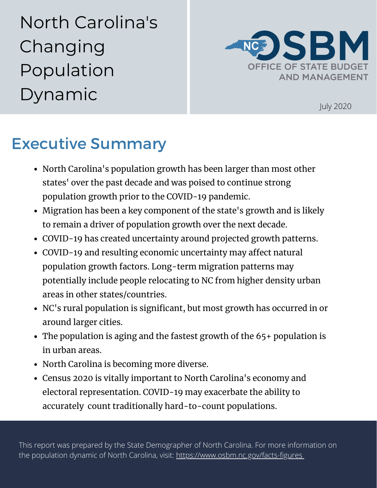North Carolina's Changing Population Dynamic



July 2020

# Executive Summary

- North Carolina's population growth has been larger than most other states' over the past decade and was poised to continue strong population growth prior to the COVID-19 pandemic.
- Migration has been a key component of the state's growth and is likely to remain a driver of population growth over the next decade.
- COVID-19 has created uncertainty around projected growth patterns.
- COVID-19 and resulting economic uncertainty may affect natural population growth factors. Long-term migration patterns may potentially include people relocating to NC from higher density urban areas in other states/countries.
- NC's rural population is significant, but most growth has occurred in or around larger cities.
- The population is aging and the fastest growth of the 65+ population is in urban areas.
- North Carolina is becoming more diverse.
- Census 2020 is vitally important to North Carolina's economy and electoral representation. COVID-19 may exacerbate the ability to accurately count traditionally hard-to-count populations.

This report was prepared by the State Demographer of North Carolina. For more information on the population dynamic of North Carolina, visit: <https://www.osbm.nc.gov/facts-figures>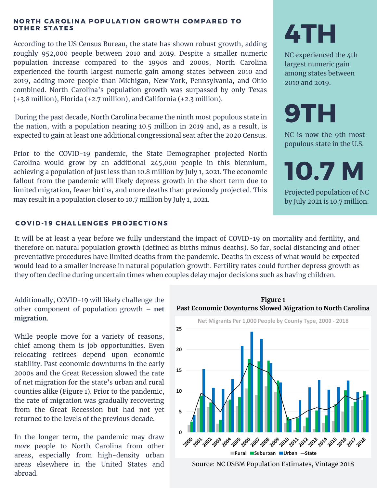#### NORTH CAROLINA POPULATION GROWTH COMPARED TO **OTHER STATES**

According to the US Census Bureau, the state has shown robust growth, adding roughly 952,000 people between 2010 and 2019. Despite a smaller numeric population increase compared to the 1990s and 2000s, North Carolina experienced the fourth largest numeric gain among states between 2010 and 2019, adding more people than Michigan, New York, Pennsylvania, and Ohio combined. North Carolina's population growth was surpassed by only Texas (+3.8 million), Florida (+2.7 million), and California (+2.3 million).

During the past decade, North Carolina became the ninth most populous state in the nation, with a population nearing 10.5 million in 2019 and, as a result, is expected to gain at least one additional congressional seat after the 2020 Census.

Prior to the COVID-19 pandemic, the State Demographer projected North Carolina would grow by an additional 245,000 people in this biennium, achieving a population of just less than 10.8 million by July 1, 2021. The economic fallout from the pandemic will likely depress growth in the short term due to limited migration, fewer births, and more deaths than previously projected. This may result in a population closer to 10.7 million by July 1, 2021.

# COVID-19 CHALLENGES PROJECTIONS

It will be at least a year before we fully understand the impact of COVID-19 on mortality and fertility, and therefore on natural population growth (defined as births minus deaths). So far, social distancing and other preventative procedures have limited deaths from the pandemic. Deaths in excess of what would be expected would lead to a smaller increase in natural population growth. Fertility rates could further depress growth as they often decline during uncertain times when couples delay major decisions such as having children.

Additionally, COVID-19 will likely challenge the other component of population growth – **net migration**.

While people move for a variety of reasons, chief among them is job opportunities. Even relocating retirees depend upon economic stability. Past economic downturns in the early 2000s and the Great Recession slowed the rate of net migration for the state's urban and rural counties alike (Figure 1). Prior to the pandemic, the rate of migration was gradually recovering from the Great Recession but had not yet returned to the levels of the previous decade.

In the longer term, the pandemic may draw *more* people to North Carolina from other areas, especially from high-density urban areas elsewhere in the United States and abroad.

**Past Economic Downturns Slowed Migration to North Carolina** Net Migrants Per 1,000 People by County Type, 2000 - 2018 25 20 15 10 5 \* 20<sup>5</sup> 20<sup>6</sup> 20<sup>9</sup> 20<sup>8</sup> 20<sup>9</sup> 20<sup>0</sup> 20<sup>0</sup> 20<sup>0</sup> 20<sup>0</sup> 20<sup>6</sup> 20<sup>6</sup> 20<sup>0</sup> 20<sup>6</sup> , 201 - 202 - 203 - 204 Rural Suburban Urban -State

**Figure 1**

Source: NC OSBM Population Estimates, Vintage 2018

4TH

NC experienced the 4th largest numeric gain among states between 2010 and 2019.

# 9TH

NC is now the 9th most populous state in the U.S.

10.7 M

Projected population of NC by July 2021 is 10.7 million.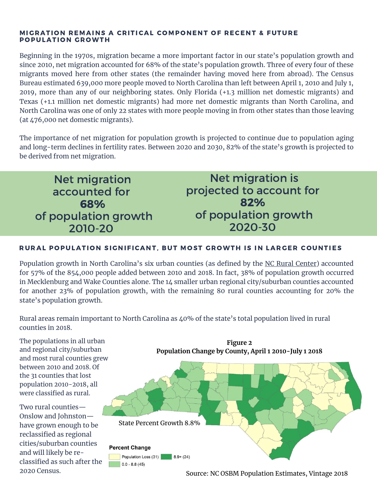#### MIGRATION REMAINS A CRITICAL COMPONENT OF RECENT & FUTURE POPULATION GROWTH

Beginning in the 1970s, migration became a more important factor in our state's population growth and since 2010, net migration accounted for 68% of the state's population growth. Three of every four of these migrants moved here from other states (the remainder having moved here from abroad). The Census Bureau estimated 639,000 more people moved to North Carolina than left between April 1, 2010 and July 1, 2019, more than any of our neighboring states. Only Florida (+1.3 million net domestic migrants) and Texas (+1.1 million net domestic migrants) had more net domestic migrants than North Carolina, and North Carolina was one of only 22 states with more people moving in from other states than those leaving (at 476,000 net domestic migrants).

The importance of net migration for population growth is projected to continue due to population aging and long-term declines in fertility rates. Between 2020 and 2030, 82% of the state's growth is projected to be derived from net migration.

Net migration accounted for 68% of population growth 2010-20

Net migration is projected to account for 82% of population growth 2020-30

# RURAL POPULATION SIGNIFICANT, BUT MOST GROWTH IS IN LARGER COUNTIES

Population growth in North Carolina's six urban counties (as defined by the NC Rural [Center](https://www.ncruralcenter.org/)) accounted for 57% of the 854,000 people added between 2010 and 2018. In fact, 38% of population growth occurred in Mecklenburg and Wake Counties alone. The 14 smaller urban regional city/suburban counties accounted for another 23% of population growth, with the remaining 80 rural counties accounting for 20% the state's population growth.

Rural areas remain important to North Carolina as 40% of the state's total population lived in rural counties in 2018.

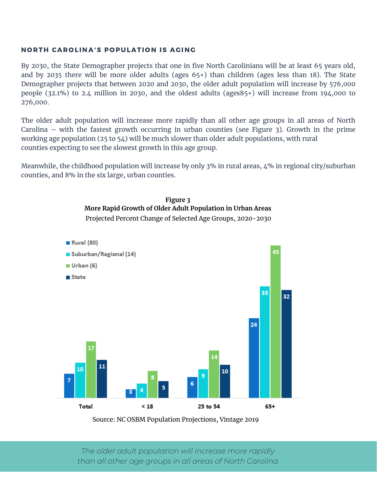### NORTH CAROLINA'S POPULATION IS AGING

By 2030, the State Demographer projects that one in five North Carolinians will be at least 65 years old, and by 2035 there will be more older adults (ages 65+) than children (ages less than 18). The State Demographer projects that between 2020 and 2030, the older adult population will increase by 576,000 people (32.1%) to 2.4 million in 2030, and the oldest adults (ages85+) will increase from 194,000 to 276,000.

The older adult population will increase more rapidly than all other age groups in all areas of North Carolina – with the fastest growth occurring in urban counties (see Figure 3). Growth in the prime working age population (25 to 54) will be much slower than older adult populations, with rural counties expecting to see the slowest growth in this age group.

Meanwhile, the childhood population will increase by only 3% in rural areas, 4% in regional city/suburban counties, and 8% in the six large, urban counties.



Source: NC OSBM Population Projections, Vintage 2019

*The older adult population will increase more rapidly than all other age groups in all areas of North Carolina*